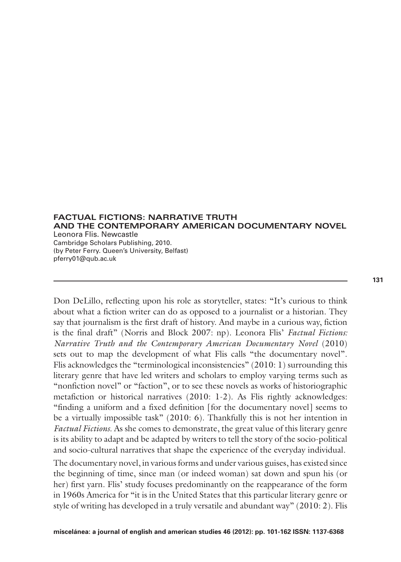**FACTUAL FICTIONS: NARRATIVE TRUTH AND THE CONTEMPORARY AMERICAN DOCUMENTARY NOVEL** Leonora Flis. Newcastle Cambridge Scholars Publishing, 2010. (by Peter Ferry. Queen's University, Belfast) pferry01@qub.ac.uk

Don DeLillo, reflecting upon his role as storyteller, states: "It's curious to think about what a fiction writer can do as opposed to a journalist or a historian. They say that journalism is the first draft of history. And maybe in a curious way, fiction is the final draft" (Norris and Block 2007: np). Leonora Flis' *Factual Fictions: Narrative Truth and the Contemporary American Documentary Novel* (2010) sets out to map the development of what Flis calls "the documentary novel". Flis acknowledges the "terminological inconsistencies" (2010: 1) surrounding this literary genre that have led writers and scholars to employ varying terms such as "nonfiction novel" or "faction", or to see these novels as works of historiographic metafiction or historical narratives (2010: 1-2). As Flis rightly acknowledges: "finding a uniform and a fixed definition [for the documentary novel] seems to be a virtually impossible task" (2010: 6). Thankfully this is not her intention in *Factual Fictions*. As she comes to demonstrate, the great value of this literary genre is its ability to adapt and be adapted by writers to tell the story of the socio-political and socio-cultural narratives that shape the experience of the everyday individual.

The documentary novel, in various forms and under various guises, has existed since the beginning of time, since man (or indeed woman) sat down and spun his (or her) first yarn. Flis' study focuses predominantly on the reappearance of the form in 1960s America for "it is in the United States that this particular literary genre or style of writing has developed in a truly versatile and abundant way" (2010: 2). Flis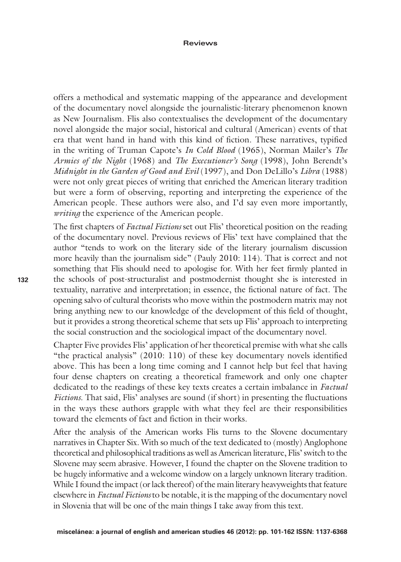## **Reviews**

offers a methodical and systematic mapping of the appearance and development of the documentary novel alongside the journalistic-literary phenomenon known as New Journalism. Flis also contextualises the development of the documentary novel alongside the major social, historical and cultural (American) events of that era that went hand in hand with this kind of fiction. These narratives, typified in the writing of Truman Capote's *In Cold Blood* (1965), Norman Mailer's *The Armies of the Night* (1968) and *The Executioner's Song* (1998), John Berendt's *Midnight in the Garden of Good and Evil* (1997), and Don DeLillo's *Libra* (1988) were not only great pieces of writing that enriched the American literary tradition but were a form of observing, reporting and interpreting the experience of the American people. These authors were also, and I'd say even more importantly, *writing* the experience of the American people.

The first chapters of *Factual Fictions* set out Flis' theoretical position on the reading of the documentary novel. Previous reviews of Flis' text have complained that the author "tends to work on the literary side of the literary journalism discussion more heavily than the journalism side" (Pauly 2010: 114). That is correct and not something that Flis should need to apologise for. With her feet firmly planted in the schools of post-structuralist and postmodernist thought she is interested in textuality, narrative and interpretation; in essence, the fictional nature of fact. The opening salvo of cultural theorists who move within the postmodern matrix may not bring anything new to our knowledge of the development of this field of thought, but it provides a strong theoretical scheme that sets up Flis' approach to interpreting the social construction and the sociological impact of the documentary novel.

Chapter Five provides Flis' application of her theoretical premise with what she calls "the practical analysis" (2010: 110) of these key documentary novels identified above. This has been a long time coming and I cannot help but feel that having four dense chapters on creating a theoretical framework and only one chapter dedicated to the readings of these key texts creates a certain imbalance in *Factual Fictions.* That said, Flis' analyses are sound (if short) in presenting the fluctuations in the ways these authors grapple with what they feel are their responsibilities toward the elements of fact and fiction in their works.

After the analysis of the American works Flis turns to the Slovene documentary narratives in Chapter Six. With so much of the text dedicated to (mostly) Anglophone theoretical and philosophical traditions as well as American literature, Flis' switch to the Slovene may seem abrasive. However, I found the chapter on the Slovene tradition to be hugely informative and a welcome window on a largely unknown literary tradition. While I found the impact (or lack thereof) of the main literary heavyweights that feature elsewhere in *Factual Fictions* to be notable, it is the mapping of the documentary novel in Slovenia that will be one of the main things I take away from this text.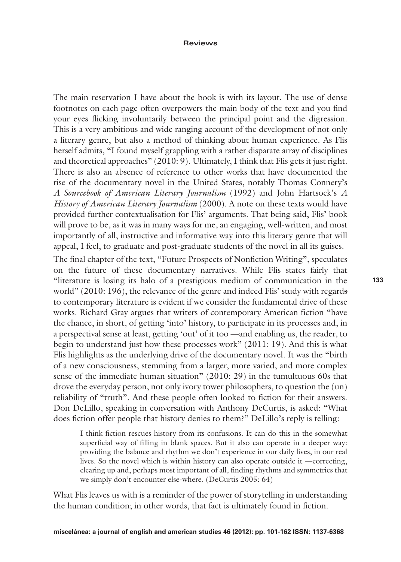## **Reviews**

The main reservation I have about the book is with its layout. The use of dense footnotes on each page often overpowers the main body of the text and you find your eyes flicking involuntarily between the principal point and the digression. This is a very ambitious and wide ranging account of the development of not only a literary genre, but also a method of thinking about human experience. As Flis herself admits, "I found myself grappling with a rather disparate array of disciplines and theoretical approaches" (2010: 9). Ultimately, I think that Flis gets it just right. There is also an absence of reference to other works that have documented the rise of the documentary novel in the United States, notably Thomas Connery's *A Sourcebook of American Literary Journalism* (1992) and John Hartsock's *A History of American Literary Journalism* (2000). A note on these texts would have provided further contextualisation for Flis' arguments. That being said, Flis' book will prove to be, as it was in many ways for me, an engaging, well-written, and most importantly of all, instructive and informative way into this literary genre that will appeal, I feel, to graduate and post-graduate students of the novel in all its guises.

The final chapter of the text, "Future Prospects of Nonfiction Writing", speculates on the future of these documentary narratives. While Flis states fairly that "literature is losing its halo of a prestigious medium of communication in the world" (2010: 196), the relevance of the genre and indeed Flis' study with regards to contemporary literature is evident if we consider the fundamental drive of these works. Richard Gray argues that writers of contemporary American fiction "have the chance, in short, of getting 'into' history, to participate in its processes and, in a perspectival sense at least, getting 'out' of it too —and enabling us, the reader, to begin to understand just how these processes work" (2011: 19). And this is what Flis highlights as the underlying drive of the documentary novel. It was the "birth of a new consciousness, stemming from a larger, more varied, and more complex sense of the immediate human situation" (2010: 29) in the tumultuous 60s that drove the everyday person, not only ivory tower philosophers, to question the (un) reliability of "truth". And these people often looked to fiction for their answers. Don DeLillo, speaking in conversation with Anthony DeCurtis, is asked: "What does fiction offer people that history denies to them?" DeLillo's reply is telling:

I think fiction rescues history from its confusions. It can do this in the somewhat superficial way of filling in blank spaces. But it also can operate in a deeper way: providing the balance and rhythm we don't experience in our daily lives, in our real lives. So the novel which is within history can also operate outside it —correcting, clearing up and, perhaps most important of all, finding rhythms and symmetries that we simply don't encounter else-where. (DeCurtis 2005: 64)

What Flis leaves us with is a reminder of the power of storytelling in understanding the human condition; in other words, that fact is ultimately found in fiction.